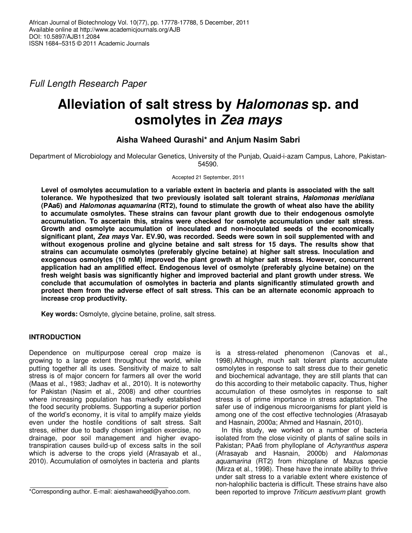Full Length Research Paper

# **Alleviation of salt stress by Halomonas sp. and osmolytes in Zea mays**

# **Aisha Waheed Qurashi\* and Anjum Nasim Sabri**

Department of Microbiology and Molecular Genetics, University of the Punjab, Quaid-i-azam Campus, Lahore, Pakistan-54590.

#### Accepted 21 September, 2011

**Level of osmolytes accumulation to a variable extent in bacteria and plants is associated with the salt tolerance. We hypothesized that two previously isolated salt tolerant strains, Halomonas meridiana (PAa6) and Halomonas aquamarina (RT2), found to stimulate the growth of wheat also have the ability to accumulate osmolytes. These strains can favour plant growth due to their endogenous osmolyte accumulation. To ascertain this, strains were checked for osmolyte accumulation under salt stress. Growth and osmolyte accumulation of inoculated and non-inoculated seeds of the economically significant plant, Zea mays Var. EV.90, was recorded. Seeds were sown in soil supplemented with and without exogenous proline and glycine betaine and salt stress for 15 days. The results show that strains can accumulate osmolytes (preferably glycine betaine) at higher salt stress. Inoculation and exogenous osmolytes (10 mM) improved the plant growth at higher salt stress. However, concurrent application had an amplified effect. Endogenous level of osmolyte (preferably glycine betaine) on the fresh weight basis was significantly higher and improved bacterial and plant growth under stress. We conclude that accumulation of osmolytes in bacteria and plants significantly stimulated growth and protect them from the adverse effect of salt stress. This can be an alternate economic approach to increase crop productivity.** 

**Key words:** Osmolyte, glycine betaine, proline, salt stress.

# **INTRODUCTION**

Dependence on multipurpose cereal crop maize is growing to a large extent throughout the world, while putting together all its uses. Sensitivity of maize to salt stress is of major concern for farmers all over the world (Maas et al., 1983; Jadhav et al., 2010). It is noteworthy for Pakistan (Nasim et al., 2008) and other countries where increasing population has markedly established the food security problems. Supporting a superior portion of the world's economy, it is vital to amplify maize yields even under the hostile conditions of salt stress. Salt stress, either due to badly chosen irrigation exercise, no drainage, poor soil management and higher evapotranspiration causes build-up of excess salts in the soil which is adverse to the crops yield (Afrasayab et al., 2010). Accumulation of osmolytes in bacteria and plants

is a stress-related phenomenon (Canovas et al., 1998).Although, much salt tolerant plants accumulate osmolytes in response to salt stress due to their genetic and biochemical advantage, they are still plants that can do this according to their metabolic capacity. Thus, higher accumulation of these osmolytes in response to salt stress is of prime importance in stress adaptation. The safer use of indigenous microorganisms for plant yield is among one of the cost effective technologies (Afrasayab and Hasnain, 2000a; Ahmed and Hasnain, 2010).

In this study, we worked on a number of bacteria isolated from the close vicinity of plants of saline soils in Pakistan; PAa6 from phylloplane of Achyranthus aspera (Afrasayab and Hasnain, 2000b) and Halomonas aquamarina (RT2) from rhizoplane of Mazus specie (Mirza et al., 1998). These have the innate ability to thrive under salt stress to a variable extent where existence of non-halophilic bacteria is difficult. These strains have also been reported to improve Triticum aestivum plant growth

<sup>\*</sup>Corresponding author. E-mail: aieshawaheed@yahoo.com.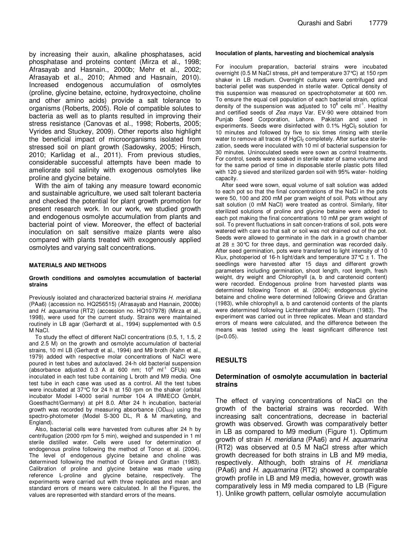by increasing their auxin, alkaline phosphatases, acid phosphatase and proteins content (Mirza et al., 1998; Afrasayab and Hasnain., 2000b; Mehr et al., 2002; Afrasayab et al., 2010; Ahmed and Hasnain, 2010). Increased endogenous accumulation of osmolytes (proline, glycine betaine, ectoine, hydroxyectoine, choline and other amino acids) provide a salt tolerance to organisms (Roberts, 2005). Role of compatible solutes to bacteria as well as to plants resulted in improving their stress resistance (Canovas et al., 1998; Roberts, 2005; Vyrides and Stuckey, 2009). Other reports also highlight the beneficial impact of microorganisms isolated from stressed soil on plant growth (Sadowsky, 2005; Hirsch, 2010; Karlidag et al., 2011). From previous studies, considerable successful attempts have been made to ameliorate soil salinity with exogenous osmolytes like proline and glycine betaine.

With the aim of taking any measure toward economic and sustainable agriculture, we used salt tolerant bacteria and checked the potential for plant growth promotion for present research work. In our work, we studied growth and endogenous osmolyte accumulation from plants and bacterial point of view. Moreover, the effect of bacterial inoculation on salt sensitive maize plants were also compared with plants treated with exogenously applied osmolytes and varying salt concentrations.

#### **MATERIALS AND METHODS**

#### **Growth conditions and osmolytes accumulation of bacterial strains**

Previously isolated and characterized bacterial strains H. meridiana (PAa6) (accession no. HQ256515) (Afrasayab and Hasnain, 2000b) and H. aquamarina (RT2) (accession no. HQ107978) (Mirza et al., 1998), were used for the current study. Strains were maintained routinely in LB agar (Gerhardt et al., 1994) supplemented with 0.5 M NaCl.

To study the effect of different NaCl concentrations (0.5, 1, 1.5, 2 and 2.5 M) on the growth and osmolyte accumulation of bacterial strains, 10 ml LB (Gerhardt et al., 1994) and M9 broth (Kahn et al., 1979) added with respective molar concentrations of NaCl were poured in test tubes and autoclaved. 24-h old bacterial suspension (absorbance adjusted 0.3 A at 600 nm; 10 $^8$  ml<sup>-1</sup> CFUs) was inoculated in each test tube containing L broth and M9 media. One test tube in each case was used as a control. All the test tubes were incubated at 37°C for 24 h at 150 rpm on the shaker (orbital incubator Model I-4000 serial number 104 A IRMECO GmbH, Goesthacht/Germany) at pH 8.0. After 24 h incubation, bacterial growth was recorded by measuring absorbance  $(OD_{600})$  using the spectro-photometer (Model S-300 DL, R & M marketing, and England).

Also, bacterial cells were harvested from cultures after 24 h by centrifugation (2000 rpm for 5 min), weighed and suspended in 1 ml sterile distilled water. Cells were used for determination of endogenous proline following the method of Tonon et al. (2004). The level of endogenous glycine betaine and choline was determined following the method of Grieve and Grattan (1983). Calibration of proline and glycine betaine was made using reference L-proline and glycine betaine, respectively. The experiments were carried out with three replicates and mean and standard errors of means were calculated. In all the Figures, the values are represented with standard errors of the means.

#### **Inoculation of plants, harvesting and biochemical analysis**

For inoculum preparation, bacterial strains were incubated overnight (0.5 M NaCl stress, pH and temperature 37°C) at 150 rpm shaker in LB medium. Overnight cultures were centrifuged and bacterial pellet was suspended in sterile water. Optical density of this suspension was measured on spectrophotometer at 600 nm. To ensure the equal cell population of each bacterial strain, optical density of the suspension was adjusted to 10 $^8$  cells ml<sup>-1</sup>. Healthy and certified seeds of Zea mays Var. EV-90 were obtained from Punjab Seed Corporation, Lahore. Pakistan and used in experiments. Seeds were disinfected with 0.1% HgCl<sub>2</sub> solution for 10 minutes and followed by five to six times rinsing with sterile water to remove all traces of HgCl<sub>2</sub> completely. After surface sterilezation, seeds were inoculated with 10 ml of bacterial suspension for 30 minutes. Uninoculated seeds were sown as control treatments. For control, seeds were soaked in sterile water of same volume and for the same period of time in disposable sterile plastic pots filled with 120 g sieved and sterilized garden soil with 95% water- holding capacity.

After seed were sown, equal volume of salt solution was added to each pot so that the final concentrations of the NaCl in the pots were 50, 100 and 200 mM per gram weight of soil. Pots without any salt solution (0 mM NaCl) were treated as control. Similarly, filter sterilized solutions of proline and glycine betaine were added to each pot making the final concentrations 10 mM per gram weight of soil. To prevent fluctuations in salt concen-trations of soil, pots were watered with care so that salt or soil was not drained out of the pot. Seeds were allowed to germinate in the dark in a growth chamber at 28  $\pm$  30 °C for three days, and germination was recorded daily. After seed germination, pots were transferred to light intensity of 10 Klux, photoperiod of 16-h light/dark and temperature  $37^{\circ}C \pm 1$ . The seedlings were harvested after 15 days and different growth parameters including germination, shoot length, root length, fresh weight, dry weight and Chlorophyll (a, b and carotenoid content) were recorded. Endogenous proline from harvested plants was determined following Tonon et al. (2004); endogenous glycine betaine and choline were determined following Grieve and Grattan (1983), while chlorophyll a, b and carotenoid contents of the plants were determined following Lichtenthaler and Wellburn (1983). The experiment was carried out in three replicates. Mean and standard errors of means were calculated, and the difference between the means was tested using the least significant difference test  $(p<0.05)$ .

#### **RESULTS**

#### **Determination of osmolyte accumulation in bacterial strains**

The effect of varying concentrations of NaCl on the growth of the bacterial strains was recorded. With increasing salt concentrations, decrease in bacterial growth was observed. Growth was comparatively better in LB as compared to M9 medium (Figure 1). Optimum growth of strain H. meridiana (PAa6) and H. aquamarina (RT2) was observed at 0.5 M NaCl stress after which growth decreased for both strains in LB and M9 media, respectively. Although, both strains of H. meridiana (PAa6) and H. aquamarina (RT2) showed a comparable growth profile in LB and M9 media, however, growth was comparatively less in M9 media compared to LB (Figure 1). Unlike growth pattern, cellular osmolyte accumulation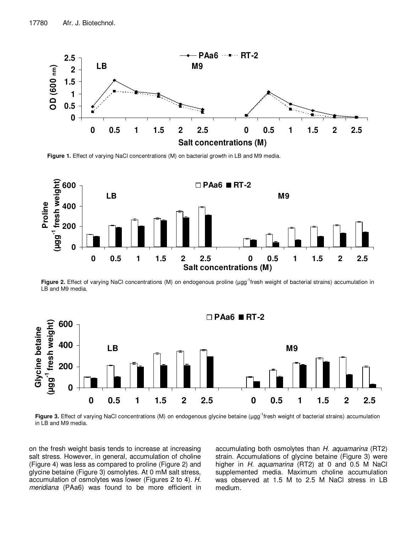

Figure 1. Effect of varying NaCl concentrations (M) on bacterial growth in LB and M9 media.



**Figure 2.** Effect of varying NaCl concentrations (M) on endogenous proline (µgg<sup>-1</sup>fresh weight of bacterial strains) accumulation in LB and M9 media.



**Figure 3.** Effect of varying NaCl concentrations (M) on endogenous glycine betaine (µgg<sup>-1</sup>fresh weight of bacterial strains) accumulation in LB and M9 media.

on the fresh weight basis tends to increase at increasing salt stress. However, in general, accumulation of choline (Figure 4) was less as compared to proline (Figure 2) and glycine betaine (Figure 3) osmolytes. At 0 mM salt stress, accumulation of osmolytes was lower (Figures 2 to 4). H. meridiana (PAa6) was found to be more efficient in

accumulating both osmolytes than H. aquamarina (RT2) strain. Accumulations of glycine betaine (Figure 3) were higher in  $H$ . aquamarina (RT2) at 0 and 0.5 M NaCl supplemented media. Maximum choline accumulation was observed at 1.5 M to 2.5 M NaCl stress in LB medium.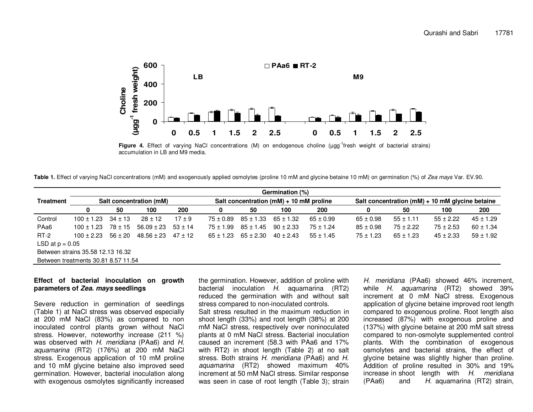

**Figure 4.** Effect of varying NaCl concentrations (M) on endogenous choline (µgg<sup>-1</sup>fresh weight of bacterial strains) accumulation in LB and M9 media.

Table 1. Effect of varying NaCl concentrations (mM) and exogenously applied osmolytes (proline 10 mM and glycine betaine 10 mM) on germination (%) of Zea mays Var. EV.90.

|                   |                                     |             |                         |             |               |               | Germination (%)                             |               |               |               |                                                     |               |  |
|-------------------|-------------------------------------|-------------|-------------------------|-------------|---------------|---------------|---------------------------------------------|---------------|---------------|---------------|-----------------------------------------------------|---------------|--|
| <b>Treatment</b>  |                                     |             | Salt concentration (mM) |             |               |               | Salt concentration ( $mM$ ) + 10 mM proline |               |               |               | Salt concentration ( $mM$ ) + 10 mM glycine betaine |               |  |
|                   | 0                                   | 50          | 100                     | 200         | 0             | 50            | 100                                         | 200           |               | 50            | 100                                                 | 200           |  |
| Control           | $100 \pm 1.23$                      | $34 \pm 13$ | $28 \pm 12$             | $17 \pm 9$  | $75 \pm 0.89$ | $85 \pm 1.33$ | $65 \pm 1.32$                               | $65 \pm 0.99$ | $65 \pm 0.98$ | $55 \pm 1.11$ | $55 \pm 2.22$                                       | $45 \pm 1.29$ |  |
| PAa6              | $100 \pm 1.23$                      | 78 ± 15     | $56.09 \pm 23$          | $53 \pm 14$ | $75 \pm 1.99$ | $85 \pm 1.45$ | $90 \pm 2.33$                               | $75 \pm 1.24$ | $85 \pm 0.98$ | $75 \pm 2.22$ | $75 \pm 2.53$                                       | $60 \pm 1.34$ |  |
| $RT-2$            | $100 \pm 2.23$                      | $56 \pm 20$ | $48.56 \pm 23$          | $47 \pm 12$ | $65 \pm 1.23$ | $65 \pm 2.30$ | $40 \pm 2.43$                               | $55 \pm 1.45$ | $75 \pm 1.23$ | $65 \pm 1.23$ | $45 \pm 2.33$                                       | $59 \pm 1.92$ |  |
| LSD at $p = 0.05$ |                                     |             |                         |             |               |               |                                             |               |               |               |                                                     |               |  |
|                   | Between strains 35.58 12.13 16.32   |             |                         |             |               |               |                                             |               |               |               |                                                     |               |  |
|                   | Between treatments 30.81 8.57 11.54 |             |                         |             |               |               |                                             |               |               |               |                                                     |               |  |

#### **Effect of bacterial inoculation on growth parameters of Zea. mays seedlings**

Severe reduction in germination of seedlings (Table 1) at NaCl stress was observed especially at 200 mM NaCl (83%) as compared to non inoculated control plants grown without NaCl stress. However, noteworthy increase (211 %) was observed with H. meridiana (PAa6) and H. aquamarina (RT2) (176%) at 200 mM NaCl stress. Exogenous application of 10 mM proline and 10 mM glycine betaine also improved seed germination. However, bacterial inoculation along with exogenous osmolytes significantly increased the germination. However, addition of proline with bacterial inoculation H. aquamarina (RT2) reduced the germination with and without salt stress compared to non-inoculated controls. Salt stress resulted in the maximum reduction in shoot length (33%) and root length (38%) at 200 mM NaCl stress, respectively over noninoculated plants at 0 mM NaCl stress. Bacterial inoculation caused an increment (58.3 with PAa6 and 17% with RT2) in shoot length (Table 2) at no salt

stress. Both strains H. meridiana (PAa6) and H. aquamarina (RT2) showed maximum 40% increment at 50 mM NaCl stress. Similar response was seen in case of root length (Table 3); strain

H. meridiana (PAa6) showed 46% increment, while H. aquamarina (RT2) showed 39% increment at 0 mM NaCl stress. Exogenous application of glycine betaine improved root length compared to exogenous proline. Root length also increased (87%) with exogenous proline and (137%) with glycine betaine at 200 mM salt stress compared to non-osmolyte supplemented control plants. With the combination of exogenous osmolytes and bacterial strains, the effect of glycine betaine was slightly higher than proline. Addition of proline resulted in 30% and 19% increase in shoot length with H. meridiana (PAa6) and H. aquamarina (RT2) strain,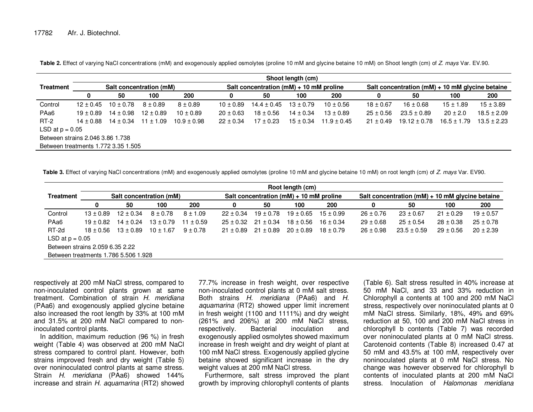|                                     |                                  |                         |               |                 |               |                                             | Shoot length (cm) |                 |               |                                                     |                 |                 |
|-------------------------------------|----------------------------------|-------------------------|---------------|-----------------|---------------|---------------------------------------------|-------------------|-----------------|---------------|-----------------------------------------------------|-----------------|-----------------|
| <b>Treatment</b>                    |                                  | Salt concentration (mM) |               |                 |               | Salt concentration ( $mM$ ) + 10 mM proline |                   |                 |               | Salt concentration ( $mM$ ) + 10 mM glycine betaine |                 |                 |
|                                     | 0                                | 50                      | 100           | 200             | 0             | 50                                          | 100               | 200             | 0             | 50                                                  | 100             | 200             |
| Control                             | $12 \pm 0.45$                    | $10 \pm 0.78$           | $8 \pm 0.89$  | $8 + 0.89$      | $10 \pm 0.89$ | $14.4 \pm 0.45$                             | $13 \pm 0.79$     | $10 \pm 0.56$   | $18 \pm 0.67$ | $16 \pm 0.68$                                       | $15 \pm 1.89$   | $15 \pm 3.89$   |
| PAa <sub>6</sub>                    | $19 \pm 0.89$                    | $14 \pm 0.98$           | $12 \pm 0.89$ | $10 \pm 0.89$   | $20 \pm 0.63$ | $18 \pm 0.56$                               | $14 \pm 0.34$     | $13 \pm 0.89$   | $25 \pm 0.56$ | $23.5 \pm 0.89$                                     | $20 \pm 2.0$    | $18.5 \pm 2.09$ |
| $RT-2$                              | $14 \pm 0.88$                    | $14 \pm 0.34$           | $11 \pm 1.09$ | $10.9 \pm 0.98$ | $22 \pm 0.34$ | $17 \pm 0.23$                               | $15 \pm 0.34$     | $11.9 \pm 0.45$ | $21 \pm 0.49$ | $19.12 \pm 0.78$                                    | $16.5 \pm 1.79$ | $13.5 \pm 2.23$ |
| LSD at $p = 0.05$                   |                                  |                         |               |                 |               |                                             |                   |                 |               |                                                     |                 |                 |
|                                     | Between strains 2.046 3.86 1.738 |                         |               |                 |               |                                             |                   |                 |               |                                                     |                 |                 |
| Between treatments 1.772 3.35 1.505 |                                  |                         |               |                 |               |                                             |                   |                 |               |                                                     |                 |                 |

**Table 2.** Effect of varying NaCl concentrations (mM) and exogenously applied osmolytes (proline 10 mM and glycine betaine 10 mM) on Shoot length (cm) of Z. mays Var. EV.90.

Table 3. Effect of varying NaCl concentrations (mM) and exogenously applied osmolytes (proline 10 mM and glycine betaine 10 mM) on root length (cm) of Z. mays Var. EV90.

|                                 | Root length (cm)                     |               |                         |              |               |                                             |               |               |               |                                                     |               |               |  |  |
|---------------------------------|--------------------------------------|---------------|-------------------------|--------------|---------------|---------------------------------------------|---------------|---------------|---------------|-----------------------------------------------------|---------------|---------------|--|--|
| Treatment                       |                                      |               | Salt concentration (mM) |              |               | Salt concentration ( $mM$ ) + 10 mM proline |               |               |               | Salt concentration ( $mM$ ) + 10 mM glycine betaine |               |               |  |  |
|                                 | 0                                    | 50            | 100                     | 200          | 0             | 50                                          | 100           | 200           | 0             | 50                                                  | 100           | 200           |  |  |
| Control                         | $13 \pm 0.89$                        | $12 \pm 0.34$ | $8 \pm 0.78$            | $8 \pm 1.09$ | $22 \pm 0.34$ | $19 \pm 0.78$                               | $19 \pm 0.65$ | $15 \pm 0.99$ | $26 \pm 0.76$ | $23 \pm 0.67$                                       | $21 \pm 0.29$ | $19 \pm 0.57$ |  |  |
| PAa <sub>6</sub>                | $19 \pm 0.82$                        | $14 \pm 0.24$ | $13 \pm 0.79$           | $11 + 0.59$  | $25 \pm 0.32$ | $21 \pm 0.34$                               | $18 \pm 0.56$ | $16 \pm 0.34$ | $29 \pm 0.68$ | $25 \pm 0.54$                                       | $28 \pm 0.38$ | $25 \pm 0.78$ |  |  |
| RT-2d                           | $18 + 0.56$                          | $13 \pm 0.89$ | $10 \pm 1.67$           | $9 \pm 0.78$ | $21 + 0.89$   | $21 \pm 0.89$                               | $20 \pm 0.89$ | $18 + 0.79$   | $26 \pm 0.98$ | $23.5 \pm 0.59$                                     | $29 \pm 0.56$ | $20 \pm 2.39$ |  |  |
| LSD at $p = 0.05$               |                                      |               |                         |              |               |                                             |               |               |               |                                                     |               |               |  |  |
| Between strains 2.059 6.35 2.22 |                                      |               |                         |              |               |                                             |               |               |               |                                                     |               |               |  |  |
|                                 | Between treatments 1.786 5.506 1.928 |               |                         |              |               |                                             |               |               |               |                                                     |               |               |  |  |

respectively at 200 mM NaCl stress, compared to non-inoculated control plants grown at same treatment. Combination of strain H. meridiana (PAa6) and exogenously applied glycine betaine also increased the root length by 33% at 100 mM and 31.5% at 200 mM NaCl compared to noninoculated control plants.

 In addition, maximum reduction (96 %) in fresh weight (Table 4) was observed at 200 mM NaCl stress compared to control plant. However, both strains improved fresh and dry weight (Table 5) over noninoculated control plants at same stress. Strain H. meridiana (PAa6) showed 144% increase and strain H. aquamarina (RT2) showed

77.7% increase in fresh weight, over respective non-inoculated control plants at 0 mM salt stress. Both strains H. meridiana (PAa6) and H. aquamarina (RT2) showed upper limit increment in fresh weight (1100 and 1111%) and dry weight (261% and 206%) at 200 mM NaCl stress, respectively. Bacterial inoculation and exogenously applied osmolytes showed maximum increase in fresh weight and dry weight of plant at 100 mM NaCl stress. Exogenously applied glycine betaine showed significant increase in the dry weight values at 200 mM NaCl stress.

 Furthermore, salt stress improved the plant growth by improving chlorophyll contents of plants (Table 6). Salt stress resulted in 40% increase at 50 mM NaCl, and 33 and 33% reduction in Chlorophyll a contents at 100 and 200 mM NaCl stress, respectively over noninoculated plants at 0 mM NaCl stress. Similarly, 18%, 49% and 69% reduction at 50, 100 and 200 mM NaCl stress in chlorophyll b contents (Table 7) was recorded over noninoculated plants at 0 mM NaCl stress. Carotenoid contents (Table 8) increased 0.47 at 50 mM and 43.5% at 100 mM, respectively over noninoculated plants at 0 mM NaCl stress. No change was however observed for chlorophyll b contents of inoculated plants at 200 mM NaCl stress. Inoculation of Halomonas meridiana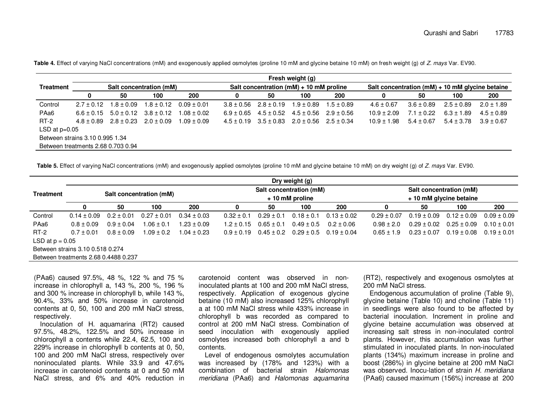|                                    |              |                |                         |                 |                |                | Fresh weight (g)                            |                |                                                     |                |                |                |
|------------------------------------|--------------|----------------|-------------------------|-----------------|----------------|----------------|---------------------------------------------|----------------|-----------------------------------------------------|----------------|----------------|----------------|
| <b>Treatment</b>                   |              |                | Salt concentration (mM) |                 |                |                | Salt concentration ( $mM$ ) + 10 mM proline |                | Salt concentration ( $mM$ ) + 10 mM glycine betaine |                |                |                |
|                                    | 0            | 50             | 100                     | 200             | 0              | 50             | 100                                         | 200            | 0                                                   | 50             | 100            | 200            |
| Control                            | $2.7 + 0.12$ | $1.8 \pm 0.09$ | $1.8 \pm 0.12$          | $0.09 \pm 0.01$ | $3.8 + 0.56$   | $2.8 \pm 0.19$ | $1.9 \pm 0.89$                              | $1.5 \pm 0.89$ | $4.6 \pm 0.67$                                      | $3.6 \pm 0.89$ | $2.5 \pm 0.89$ | $2.0 \pm 1.89$ |
| PAa6                               | $6.6 + 0.15$ | $5.0 \pm 0.12$ | $3.8 \pm 0.12$          | $1.08 \pm 0.02$ | $6.9 \pm 0.65$ | $4.5 \pm 0.52$ | $4.5\pm0.56$                                | $2.9 \pm 0.56$ | $10.9 \pm 2.09$                                     | $7.1 \pm 0.22$ | $6.3 \pm 1.89$ | $4.5 \pm 0.89$ |
| $RT-2$                             | $4.8 + 0.89$ | $2.8 \pm 0.23$ | $2.0 \pm 0.09$          | $1.09 \pm 0.09$ | $4.5 \pm 0.19$ | $3.5 \pm 0.83$ | $2.0 \pm 0.56$ $2.5 \pm 0.34$               |                | $10.9 \pm 1.98$                                     | $5.4 \pm 0.67$ | $5.4 \pm 3.78$ | $3.9 \pm 0.67$ |
| LSD at $p=0.05$                    |              |                |                         |                 |                |                |                                             |                |                                                     |                |                |                |
| Between strains 3.10 0.995 1.34    |              |                |                         |                 |                |                |                                             |                |                                                     |                |                |                |
| Between treatments 2.68 0.703 0.94 |              |                |                         |                 |                |                |                                             |                |                                                     |                |                |                |

Table 4. Effect of varying NaCl concentrations (mM) and exogenously applied osmolytes (proline 10 mM and glycine betaine 10 mM) on fresh weight (g) of Z. mays Var. EV90.

**Table 5.** Effect of varying NaCl concentrations (mM) and exogenously applied osmolytes (proline 10 mM and glycine betaine 10 mM) on dry weight (g) of Z. mays Var. EV90.

|                   |                                      | Dry weight (g) |                         |                 |                |                |                                            |                                               |                 |                 |                                                    |                                 |  |  |
|-------------------|--------------------------------------|----------------|-------------------------|-----------------|----------------|----------------|--------------------------------------------|-----------------------------------------------|-----------------|-----------------|----------------------------------------------------|---------------------------------|--|--|
| <b>Treatment</b>  |                                      |                | Salt concentration (mM) |                 |                |                | Salt concentration (mM)<br>+ 10 mM proline |                                               |                 |                 | Salt concentration (mM)<br>+ 10 mM glycine betaine |                                 |  |  |
|                   | 0                                    | 50             | 100                     | 200             |                | 50             | 100                                        | 200                                           |                 | 50              | 100                                                | 200                             |  |  |
| Control           | $0.14 \pm 0.09$                      | $0.2 \pm 0.01$ | $0.27 \pm 0.01$         | $0.34 \pm 0.03$ | $0.32 \pm 0.1$ | $0.29 \pm 0.1$ | $0.18 \pm 0.1$                             | $0.13 \pm 0.02$                               | $0.29 \pm 0.07$ | $0.19 \pm 0.09$ | $0.12 \pm 0.09$                                    | $0.09 \pm 0.09$                 |  |  |
| PAa <sub>6</sub>  | $0.8 \pm 0.09$                       | $0.9 \pm 0.04$ | $1.06 \pm 0.1$          | $1.23 \pm 0.09$ | $1.2 \pm 0.15$ | $0.65 \pm 0.1$ | $0.49 \pm 0.5$                             | $0.2 \pm 0.06$                                | $0.98 \pm 2.0$  | $0.29 \pm 0.02$ | $0.25 \pm 0.09$                                    | $0.10 \pm 0.01$                 |  |  |
| $RT-2$            | $0.7 + 0.01$                         | $0.8 \pm 0.09$ | $1.09 \pm 0.2$          | $1.04 \pm 0.23$ | $0.9 + 0.19$   |                |                                            | $0.45 \pm 0.2$ $0.29 \pm 0.5$ $0.19 \pm 0.04$ | $0.65 \pm 1.9$  | $0.23 \pm 0.07$ |                                                    | $0.19 \pm 0.08$ $0.19 \pm 0.01$ |  |  |
| LSD at $p = 0.05$ |                                      |                |                         |                 |                |                |                                            |                                               |                 |                 |                                                    |                                 |  |  |
|                   | Between strains 3.10 0.518 0.274     |                |                         |                 |                |                |                                            |                                               |                 |                 |                                                    |                                 |  |  |
|                   | Between treatments 2.68 0.4488 0.237 |                |                         |                 |                |                |                                            |                                               |                 |                 |                                                    |                                 |  |  |

(PAa6) caused 97.5%, 48 %, 122 % and 75 % increase in chlorophyll a, 143 %, 200 %, 196 % and 300 % increase in chlorophyll b, while 143 %, 90.4%, 33% and 50% increase in carotenoid contents at 0, 50, 100 and 200 mM NaCl stress, respectively.

 Inoculation of H. aquamarina (RT2) caused 97.5%, 48.2%, 122.5% and 50% increase in chlorophyll a contents while 22.4, 62.5, 100 and 229% increase in chlorophyll b contents at 0, 50, 100 and 200 mM NaCl stress, respectively over noninoculated plants. While 33.9 and 47.6% increase in carotenoid contents at 0 and 50 mM NaCl stress, and 6% and 40% reduction in

carotenoid content was observed in noninoculated plants at 100 and 200 mM NaCl stress, respectively. Application of exogenous glycine betaine (10 mM) also increased 125% chlorophyll a at 100 mM NaCl stress while 433% increase in chlorophyll b was recorded as compared to control at 200 mM NaCl stress. Combination of seed inoculation with exogenously applied osmolytes increased both chlorophyll a and b contents.

 Level of endogenous osmolytes accumulation was increased by (178% and 123%) with a combination of bacterial strain Halomonas meridiana (PAa6) and Halomonas aquamarina

(RT2), respectively and exogenous osmolytes at 200 mM NaCl stress.

 Endogenous accumulation of proline (Table 9), glycine betaine (Table 10) and choline (Table 11) in seedlings were also found to be affected by bacterial inoculation. Increment in proline and glycine betaine accumulation was observed at increasing salt stress in non-inoculated control plants. However, this accumulation was further stimulated in inoculated plants. In non-inoculated plants (134%) maximum increase in proline and boost (286%) in glycine betaine at 200 mM NaCl was observed. Inocu-lation of strain H. meridiana (PAa6) caused maximum (156%) increase at 200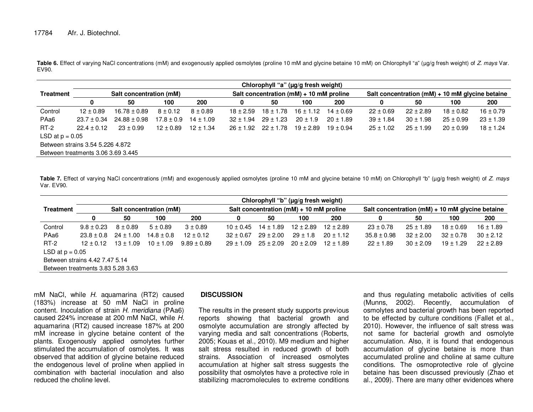Table 6. Effect of varying NaCl concentrations (mM) and exogenously applied osmolytes (proline 10 mM and glycine betaine 10 mM) on Chlorophyll "a" (µg/g fresh weight) of Z. mays Var. EV90.

|                                  |                                    |                         |                |               |               | Chlorophyll "a" (µg/g fresh weight)         |               |               |               |               |                                                     |               |
|----------------------------------|------------------------------------|-------------------------|----------------|---------------|---------------|---------------------------------------------|---------------|---------------|---------------|---------------|-----------------------------------------------------|---------------|
| <b>Treatment</b>                 |                                    | Salt concentration (mM) |                |               |               | Salt concentration ( $mM$ ) + 10 mM proline |               |               |               |               | Salt concentration ( $mM$ ) + 10 mM glycine betaine |               |
|                                  | 0                                  | 50                      | 100            | 200           | 0             | 50                                          | 100           | 200           |               | 50            | 100                                                 | 200           |
| Control                          | $12 \pm 0.89$                      | $16.78 \pm 0.89$        | $8 \pm 0.12$   | $8 \pm 0.89$  | $18 + 2.59$   | $18 \pm 1.78$                               | $16 \pm 1.12$ | $14 \pm 0.69$ | $22 \pm 0.69$ | $22 \pm 2.89$ | $18 \pm 0.82$                                       | $16 \pm 0.79$ |
| PAa6                             | $23.7 \pm 0.34$                    | $24.88 \pm 0.98$        | $17.8 \pm 0.9$ | $14 \pm 1.09$ | $32 \pm 1.94$ | $29 \pm 1.23$                               | $20 \pm 1.9$  | $20 \pm 1.89$ | $39 \pm 1.84$ | $30 \pm 1.98$ | $25 \pm 0.99$                                       | $23 \pm 1.39$ |
| $RT-2$                           | $22.4 \pm 0.12$                    | $23 \pm 0.99$           | $12 \pm 0.89$  | $12 \pm 1.34$ |               | $26 \pm 1.92$ $22 \pm 1.78$                 | $19 \pm 2.89$ | $19 \pm 0.94$ | $25 \pm 1.02$ | $25 \pm 1.99$ | $20 \pm 0.99$                                       | $18 \pm 1.24$ |
| LSD at $p = 0.05$                |                                    |                         |                |               |               |                                             |               |               |               |               |                                                     |               |
| Between strains 3.54 5.226 4.872 |                                    |                         |                |               |               |                                             |               |               |               |               |                                                     |               |
|                                  | Between treatments 3.06 3.69 3.445 |                         |                |               |               |                                             |               |               |               |               |                                                     |               |

Table 7. Effect of varying NaCl concentrations (mM) and exogenously applied osmolytes (proline 10 mM and glycine betaine 10 mM) on Chlorophyll "b" (µg/g fresh weight) of Z. mays Var. EV90.

|                                | Chlorophyll "b" (µg/g fresh weight) |               |                         |                 |               |               |                                             |               |                                                     |               |               |               |  |  |
|--------------------------------|-------------------------------------|---------------|-------------------------|-----------------|---------------|---------------|---------------------------------------------|---------------|-----------------------------------------------------|---------------|---------------|---------------|--|--|
| <b>Treatment</b>               |                                     |               | Salt concentration (mM) |                 |               |               | Salt concentration ( $mM$ ) + 10 mM proline |               | Salt concentration ( $mM$ ) + 10 mM glycine betaine |               |               |               |  |  |
|                                | 0                                   | 50            | 100                     | 200             |               | 50            | 100                                         | 200           | 0                                                   | 50            | 100           | 200           |  |  |
| Control                        | $9.8 \pm 0.23$                      | $8 \pm 0.89$  | $5 \pm 0.89$            | $3 + 0.89$      | $10 + 0.45$   | $14 \pm 1.89$ | $12 \pm 2.89$                               | $12 \pm 2.89$ | $23 \pm 0.78$                                       | $25 \pm 1.89$ | $18 \pm 0.69$ | $16 \pm 1.89$ |  |  |
| PAa <sub>6</sub>               | $23.8 \pm 0.8$                      | $24 \pm 1.00$ | $14.8 \pm 0.8$          | $12 \pm 0.12$   | $32 \pm 0.67$ | $29 \pm 2.00$ | $29 \pm 1.8$                                | $20 \pm 1.12$ | $35.8 \pm 0.98$                                     | $32 \pm 2.00$ | $32 \pm 0.78$ | $30 \pm 2.12$ |  |  |
| $RT-2$                         | $12 + 0.12$                         | $13 \pm 1.09$ | $10 \pm 1.09$           | $9.89 \pm 0.89$ | $29 \pm 1.09$ | $25 \pm 2.09$ | $20 \pm 2.09$                               | $12 \pm 1.89$ | $22 \pm 1.89$                                       | $30 \pm 2.09$ | $19 \pm 1.29$ | $22 \pm 2.89$ |  |  |
| LSD at $p = 0.05$              |                                     |               |                         |                 |               |               |                                             |               |                                                     |               |               |               |  |  |
| Between strains 4.42 7.47 5.14 |                                     |               |                         |                 |               |               |                                             |               |                                                     |               |               |               |  |  |
|                                | Between treatments 3.83 5.28 3.63   |               |                         |                 |               |               |                                             |               |                                                     |               |               |               |  |  |

mM NaCl, while H. aquamarina (RT2) caused (183%) increase at 50 mM NaCl in proline content. Inoculation of strain H. meridiana (PAa6) caused 224% increase at 200 mM NaCl, while H. aquamarina (RT2) caused increase 187% at 200 mM increase in glycine betaine content of the plants. Exogenously applied osmolytes further stimulated the accumulation of osmolytes. It was observed that addition of glycine betaine reduced the endogenous level of proline when applied in combination with bacterial inoculation and also reduced the choline level.

### **DISCUSSION**

The results in the present study supports previous reports showing that bacterial growth and osmolyte accumulation are strongly affected by varying media and salt concentrations (Roberts, 2005; Kouas et al., 2010). M9 medium and higher salt stress resulted in reduced growth of both strains. Association of increased osmolytes accumulation at higher salt stress suggests the possibility that osmolytes have a protective role instabilizing macromolecules to extreme conditions and thus regulating metabolic activities of cells (Munns, 2002). Recently, accumulation of osmolytes and bacterial growth has been reported to be effected by culture conditions (Fallet et al., 2010). However, the influence of salt stress was not same for bacterial growth and osmolyte accumulation. Also, it is found that endogenous accumulation of glycine betaine is more than accumulated proline and choline at same culture conditions. The osmoprotective role of glycine betaine has been discussed previously (Zhao et al., 2009). There are many other evidences where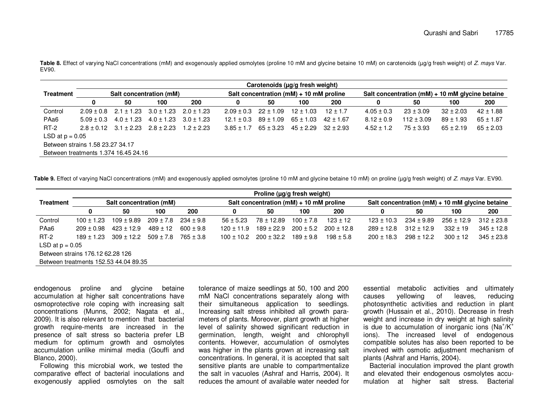**Table 8.** Effect of varying NaCl concentrations (mM) and exogenously applied osmolytes (proline 10 mM and glycine betaine 10 mM) on carotenoids (µg/g fresh weight) of Z. mays Var. EV90.

|                                  | Carotenoids (µg/g fresh weight)      |                                              |                |                |                |               |                                             |                             |                |                                                 |               |               |  |  |
|----------------------------------|--------------------------------------|----------------------------------------------|----------------|----------------|----------------|---------------|---------------------------------------------|-----------------------------|----------------|-------------------------------------------------|---------------|---------------|--|--|
| Treatment                        |                                      | Salt concentration (mM)                      |                |                |                |               | Salt concentration ( $mM$ ) + 10 mM proline |                             |                | Salt concentration (mM) + 10 mM glycine betaine |               |               |  |  |
|                                  | 0                                    | 50                                           | 100            | 200            | 0              | 50            | 100                                         | 200                         | 0              | 50                                              | 100           | 200           |  |  |
| Control                          | $2.09 + 0.8$                         | $2.1 \pm 1.23$ $3.0 \pm 1.23$                |                | $2.0 + 1.23$   | $2.09 + 0.3$   | $22 \pm 1.09$ | $12 \pm 1.03$                               | $12 \pm 1.7$                | $4.05 \pm 0.3$ | $23 \pm 3.09$                                   | $32 \pm 2.03$ | $42 \pm 1.88$ |  |  |
| PAa <sub>6</sub>                 | $5.09 + 0.3$                         | $4.0 \pm 1.23$                               | $4.0 \pm 1.23$ | $3.0 \pm 1.23$ | $12.1 + 0.3$   | $89 \pm 1.09$ | $65 \pm 1.03$                               | $42 \pm 1.67$               | $8.12 \pm 0.9$ | $112 \pm 3.09$                                  | $89 \pm 1.93$ | $65 \pm 1.87$ |  |  |
| $RT-2$                           |                                      | $2.8 \pm 0.12$ $3.1 \pm 2.23$ $2.8 \pm 2.23$ |                | $1.2 + 2.23$   | $3.85 \pm 1.7$ | $65 \pm 3.23$ |                                             | $45 \pm 2.29$ $32 \pm 2.93$ | $4.52 \pm 1.2$ | $75 \pm 3.93$                                   | $65 \pm 2.19$ | $65 \pm 2.03$ |  |  |
| LSD at $p = 0.05$                |                                      |                                              |                |                |                |               |                                             |                             |                |                                                 |               |               |  |  |
| Between strains 1.58 23.27 34.17 |                                      |                                              |                |                |                |               |                                             |                             |                |                                                 |               |               |  |  |
|                                  | Between treatments 1.374 16.45 24.16 |                                              |                |                |                |               |                                             |                             |                |                                                 |               |               |  |  |

**Table 9.** Effect of varying NaCl concentrations (mM) and exogenously applied osmolytes (proline 10 mM and glycine betaine 10 mM) on proline (µg/g fresh weight) of Z. mays Var. EV90.

|                  |                                       |                         |                             |               |                | Proline ( $\mu$ g/g fresh weight)           |               |                |                |                |                                                     |                |  |
|------------------|---------------------------------------|-------------------------|-----------------------------|---------------|----------------|---------------------------------------------|---------------|----------------|----------------|----------------|-----------------------------------------------------|----------------|--|
| Treatment        |                                       | Salt concentration (mM) |                             |               |                | Salt concentration ( $mM$ ) + 10 mM proline |               |                |                |                | Salt concentration ( $mM$ ) + 10 mM glycine betaine |                |  |
|                  | 0                                     | 50                      | 100                         | 200           | 0              | 50                                          | 100           | 200            | 0              | 50             | 100                                                 | 200            |  |
| Control          | $100 \pm 1.23$                        | $109 \pm 9.89$          | $209 \pm 7.8$ 234 $\pm$ 9.8 |               | $56 + 5.23$    | 78 ± 12.89                                  | $100 \pm 7.8$ | $123 \pm 12$   | $123 \pm 10.3$ | $234 \pm 9.89$ | $256 \pm 12.9$                                      | $312 \pm 23.8$ |  |
| PAa <sub>6</sub> | $209 + 0.98$                          | $423 \pm 12.9$          | $489 \pm 12$                | $600 \pm 9.8$ | $120 \pm 11.9$ | $189 \pm 22.9$                              | $200 \pm 5.2$ | $200 \pm 12.8$ | $289 \pm 12.8$ | $312 \pm 12.9$ | $332 \pm 19$                                        | $345 \pm 12.8$ |  |
| $RT-2$           | $189 \pm 1.23$                        | $309 \pm 12.2$          | $509 \pm 7.8$ 765 $\pm 3.8$ |               | $100 + 10.2$   | $200 \pm 32.2$                              | $189 \pm 9.8$ | $198 \pm 5.8$  | $200 \pm 18.3$ | $298 \pm 12.2$ | $300 \pm 12$                                        | $345 \pm 23.8$ |  |
|                  | LSD at $p = 0.05$                     |                         |                             |               |                |                                             |               |                |                |                |                                                     |                |  |
|                  | Between strains 176.12 62.28 126      |                         |                             |               |                |                                             |               |                |                |                |                                                     |                |  |
|                  | Between treatments 152.53 44.04 89.35 |                         |                             |               |                |                                             |               |                |                |                |                                                     |                |  |

endogenous proline and glycine betaine accumulation at higher salt concentrations have osmoprotective role coping with increasing salt concentrations (Munns, 2002; Nagata et al., 2009). It is also relevant to mention that bacterial growth require-ments are increased in the presence of salt stress so bacteria prefer LB medium for optimum growth and osmolytes accumulation unlike minimal media (Gouffi and Blanco, 2000).

 Following this microbial work, we tested the comparative effect of bacterial inoculations and exogenously applied osmolytes on the salt tolerance of maize seedlings at 50, 100 and 200 mM NaCl concentrations separately along with their simultaneous application to seedlings. Increasing salt stress inhibited all growth parameters of plants. Moreover, plant growth at higher level of salinity showed significant reduction in germination, length, weight and chlorophyll contents. However, accumulation of osmolytes was higher in the plants grown at increasing salt concentrations. In general, it is accepted that salt sensitive plants are unable to compartmentalize the salt in vacuoles (Ashraf and Harris, 2004). It reduces the amount of available water needed for

essential metabolic activities and ultimately reducing causes yellowing of leaves, photosynthetic activities and reduction in plant growth (Hussain et al., 2010). Decrease in fresh weight and increase in dry weight at high salinity is due to accumulation of inorganic ions (Na $^{\dagger}$ /K $^{\dagger}$ ions). The increased level of endogenous compatible solutes has also been reported to be involved with osmotic adjustment mechanism of plants (Ashraf and Harris, 2004).

 Bacterial inoculation improved the plant growth and elevated their endogenous osmolytes accumulation at higher salt stress. Bacterial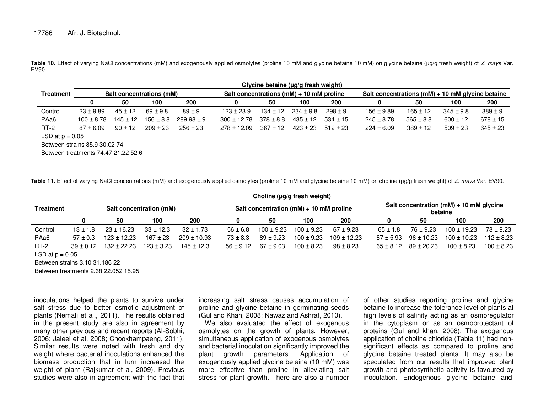Table 10. Effect of varying NaCl concentrations (mM) and exogenously applied osmolytes (proline 10 mM and glycine betaine 10 mM) on glycine betaine (µg/g fresh weight) of *Z. mays* Var. EV90.

|                               |                                     |              |                          |                |                                              | Glycine betaine (µg/g fresh weight) |               |              |                                                      |               |               |              |  |
|-------------------------------|-------------------------------------|--------------|--------------------------|----------------|----------------------------------------------|-------------------------------------|---------------|--------------|------------------------------------------------------|---------------|---------------|--------------|--|
| <b>Treatment</b>              |                                     |              | Salt concentrations (mM) |                | Salt concentrations ( $mM$ ) + 10 mM proline |                                     |               |              | Salt concentrations ( $mM$ ) + 10 mM glycine betaine |               |               |              |  |
|                               | 0                                   | 50           | 100                      | 200            | 0                                            | 50                                  | 100           | 200          | 0                                                    | 50            | 100           | 200          |  |
| Control                       | $23 \pm 9.89$                       | $45 \pm 12$  | $69 \pm 9.8$             | $89 + 9$       | $123 \pm 23.9$                               | $134 \pm 12$                        | $234 \pm 9.8$ | $298 \pm 9$  | $156 \pm 9.89$                                       | $165 \pm 12$  | $345 \pm 9.8$ | $389 \pm 9$  |  |
| PAa <sub>6</sub>              | $100 \pm 8.78$                      | $145 \pm 12$ | $156 \pm 8.8$            | $289.98 \pm 9$ | $300 \pm 12.78$                              | $378 \pm 8.8$                       | $435 \pm 12$  | $534 \pm 15$ | $245 \pm 8.78$                                       | $565 \pm 8.8$ | $600 \pm 12$  | $678 \pm 15$ |  |
| $RT-2$                        | $87 \pm 6.09$                       | $90 \pm 12$  | $209 \pm 23$             | $256 \pm 23$   | $278 \pm 12.09$                              | $367 \pm 12$                        | $423 \pm 23$  | $512 \pm 23$ | $224 \pm 6.09$                                       | $389 \pm 12$  | $509 \pm 23$  | $645 \pm 23$ |  |
| LSD at $p = 0.05$             |                                     |              |                          |                |                                              |                                     |               |              |                                                      |               |               |              |  |
| Between strains 85.9 30.02 74 |                                     |              |                          |                |                                              |                                     |               |              |                                                      |               |               |              |  |
|                               | Between treatments 74.47 21.22 52.6 |              |                          |                |                                              |                                     |               |              |                                                      |               |               |              |  |

**Table 11.** Effect of varying NaCl concentrations (mM) and exogenously applied osmolytes (proline 10 mM and glycine betaine 10 mM) on choline (µg/g fresh weight) of Z. mays Var. EV90.

|                                |                                      |                 |                         |                 |               |                | Choline (µg/g fresh weight)                 |                 |               |                |                                                        |                |
|--------------------------------|--------------------------------------|-----------------|-------------------------|-----------------|---------------|----------------|---------------------------------------------|-----------------|---------------|----------------|--------------------------------------------------------|----------------|
| <b>Treatment</b>               |                                      |                 | Salt concentration (mM) |                 |               |                | Salt concentration ( $mM$ ) + 10 mM proline |                 |               |                | Salt concentration ( $mM$ ) + 10 mM glycine<br>betaine |                |
|                                | 0                                    | 50              | 100                     | 200             |               | 50             | 100                                         | 200             | 0             | 50             | 100                                                    | 200            |
| Control                        | $13 \pm 1.8$                         | $23 \pm 16.23$  | $33 \pm 12.3$           | $32 \pm 1.73$   | $56 \pm 6.8$  | $100 \pm 9.23$ | $100 \pm 9.23$                              | $67 \pm 9.23$   | $65 \pm 1.8$  | $76 \pm 9.23$  | $100 \pm 19.23$                                        | $78 \pm 9.23$  |
| PAa <sub>6</sub>               | $57 \pm 0.3$                         | $123 \pm 12.23$ | $167 \pm 23$            | $209 \pm 10.93$ | $73 \pm 8.3$  | $89 \pm 9.23$  | $100 \pm 9.23$                              | $109 \pm 12.23$ | $87 + 5.93$   | $96 \pm 10.23$ | $100 \pm 10.23$                                        | $112 \pm 8.23$ |
| $RT-2$                         | $39 \pm 0.12$                        | $132 \pm 22.23$ | $123 \pm 3.23$          | $145 \pm 12.3$  | $56 \pm 9.12$ | $67 \pm 9.03$  | $100 \pm 8.23$                              | $98 \pm 8.23$   | $65 \pm 8.12$ | $89 \pm 20.23$ | $100 \pm 8.23$                                         | $100 \pm 8.23$ |
| LSD at $p = 0.05$              |                                      |                 |                         |                 |               |                |                                             |                 |               |                |                                                        |                |
| Between strains 3.10 31.186 22 |                                      |                 |                         |                 |               |                |                                             |                 |               |                |                                                        |                |
|                                | Between treatments 2.68 22.052 15.95 |                 |                         |                 |               |                |                                             |                 |               |                |                                                        |                |

inoculations helped the plants to survive under salt stress due to better osmotic adjustment of plants (Nemati et al., 2011). The results obtained in the present study are also in agreement by many other previous and recent reports (Al-Sobhi, 2006; Jaleel et al, 2008; Chookhampaeng, 2011). Similar results were noted with fresh and dry weight where bacterial inoculations enhanced the biomass production that in turn increased the weight of plant (Rajkumar et al, 2009). Previous studies were also in agreement with the fact that increasing salt stress causes accumulation of proline and glycine betaine in germinating seeds (Gul and Khan, 2008; Nawaz and Ashraf, 2010).

We also evaluated the effect of exogenous osmolytes on the growth of plants. However, simultaneous application of exogenous osmolytes and bacterial inoculation significantly improved the plant growth parameters. Application of exogenously applied glycine betaine (10 mM) was more effective than proline in alleviating salt stress for plant growth. There are also a number

of other studies reporting proline and glycine betaine to increase the tolerance level of plants at high levels of salinity acting as an osmoregulator in the cytoplasm or as an osmoprotectant of proteins (Gul and khan, 2008). The exogenous application of choline chloride (Table 11) had nonsignificant effects as compared to proline and glycine betaine treated plants. It may also be speculated from our results that improved plant growth and photosynthetic activity is favoured by inoculation. Endogenous glycine betaine and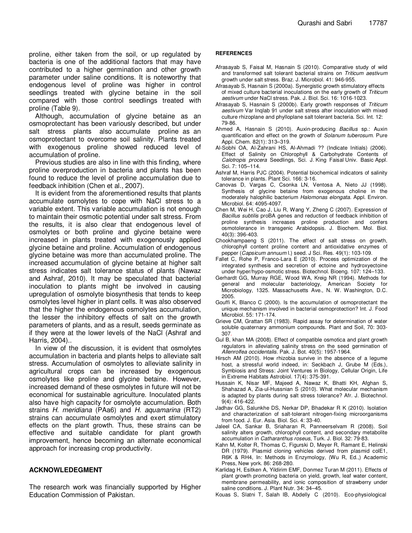proline, either taken from the soil, or up regulated by bacteria is one of the additional factors that may have contributed to a higher germination and other growth parameter under saline conditions. It is noteworthy that endogenous level of proline was higher in control seedlings treated with glycine betaine in the soil compared with those control seedlings treated with proline (Table 9).

Although, accumulation of glycine betaine as an osmoprotectant has been variously described, but under salt stress plants also accumulate proline as an osmoprotectant to overcome soil salinity. Plants treated with exogenous proline showed reduced level of accumulation of proline.

Previous studies are also in line with this finding, where proline overproduction in bacteria and plants has been found to reduce the level of proline accumulation due to feedback inhibition (Chen et al., 2007).

It is evident from the aforementioned results that plants accumulate osmolytes to cope with NaCl stress to a variable extent. This variable accumulation is not enough to maintain their osmotic potential under salt stress. From the results, it is also clear that endogenous level of osmolytes or both proline and glycine betaine were increased in plants treated with exogenously applied glycine betaine and proline. Accumulation of endogenous glycine betaine was more than accumulated proline. The increased accumulation of glycine betaine at higher salt stress indicates salt tolerance status of plants (Nawaz and Ashraf, 2010). It may be speculated that bacterial inoculation to plants might be involved in causing upregulation of osmolyte biosynthesis that tends to keep osmolytes level higher in plant cells. It was also observed that the higher the endogenous osmolytes accumulation, the lesser the inhibitory effects of salt on the growth parameters of plants, and as a result, seeds germinate as if they were at the lower levels of the NaCl (Ashraf and Harris, 2004)..

In view of the discussion, it is evident that osmolytes accumulation in bacteria and plants helps to alleviate salt stress. Accumulation of osmolytes to alleviate salinity in agricultural crops can be increased by exogenous osmolytes like proline and glycine betaine. However, increased demand of these osmolytes in future will not be economical for sustainable agriculture. Inoculated plants also have high capacity for osmolyte accumulation. Both strains H. meridiana (PAa6) and H. aquamarina (RT2) strains can accumulate osmolytes and exert stimulatory effects on the plant growth. Thus, these strains can be effective and suitable candidate for plant growth improvement, hence becoming an alternate economical approach for increasing crop productivity.

## **ACKNOWLEDEGMENT**

The research work was financially supported by Higher Education Commission of Pakistan.

#### **REFERENCES**

- Afrasayab S, Faisal M, Hasnain S (2010). Comparative study of wild and transformed salt tolerant bacterial strains on Triticum aestivum growth under salt stress. Braz. J. Microbiol. 41: 946-955.
- Afrasayab S, Hasnain S (2000a). Synergistic growth stimulatory effects of mixed culture bacterial inoculations on the early growth of Triticum aestivum under NaCl stress. Pak. J. Biol. Sci. 16: 1016-1023.
- Afrasayab S, Hasnain S (2000b). Early growth responses of Triticum aestivum Var Inqlab 91 under salt stress after inoculation with mixed culture rhizoplane and phylloplane salt tolerant bacteria. Sci. Int. 12: 79-86.
- Ahmed A, Hasnain S (2010). Auxin-producing Bacillus sp.: Auxin quantification and effect on the growth of Solanum tuberosum. Pure Appl. Chem. 82(1): 313–319.
- Al-Sobhi OA, Al-Zahrani HS, Al-Ahmadi ?? (Indicate Initials) (2006). Effect of Salinity on Chlorophyll & Carbohydrate Contents of Calotropis procera Seedlings, Sci. J. King Faisal Univ. Basic Appl. Sci. 7: 105–114.
- Ashraf M, Harris PJC (2004). Potential biochemical indicators of salinity tolerance in plants. Plant Sci. 166: 3-16.
- Canovas D, Vargas C, Csonka LN, Ventosa A, Nieto JJ (1998). Synthesis of glycine betaine from exogenous choline in the moderately halophilic bacterium Halomonas elongata. Appl. Environ. Microbiol. 64: 4095-4097.
- Chen M, Wei H, Cao J, Liu R, Wang Y, Zheng C (2007). Expression of Bacillus subtilis proBA genes and reduction of feedback inhibition of proline synthesis increases proline production and confers osmotolerance in transgenic Arabidopsis. J. Biochem. Mol. Biol. 40(3): 396-403.
- Chookhampaeng S (2011). The effect of salt stress on growth, chlorophyll content proline content and antioxidative enzymes of pepper (Capsicum annuum l.) seed. J Sci. Res. 49(1): 103-109.
- Fallet C, Rohe P, Franco-Lara E (2010). Process optimization of the integrated synthesis and secretion of ectoine and hydroxyectoine under hyper/hypo-osmotic stress. Biotechnol. Bioeng. 107: 124–133.
- Gerhardt GG, Murray RGE, Wood WA, Kreig NR (1994). Methods for general and molecular bacteriology, American Society for Microbiology, 1325. Massachusetts Ave., N. W. Washington, D.C. 2005.
- Gouffi K, Blanco C (2000). Is the accumulation of osmoprotectant the unique mechanism involved in bacterial osmoprotection? Int. J. Food Microbiol. 55: 171-174.
- Grieve CM, Grattan SR (1983). Rapid assay for determination of water soluble quaternary ammonium compounds. Plant and Soil, 70: 303- 307.
- Gul B, khan MA (2008). Effect of compatible osmotica and plant growth regulators in alleviating salinity stress on the seed germination of Allenrolfea occidentalis. Pak. J. Bot. 40(5): 1957-1964.
- Hirsch AM (2010). How rhizobia survive in the absence of a legume host, a stressful world indeed, in: Seckbach J, Grube M (Eds.), Symbiosis and Stress: Joint Ventures in Biology, Cellular Origin, Life in Extreme Habitats Astrobiol. 17(4): 375-391.
- Hussain K, Nisar MF, Majeed A, Nawaz K, Bhatti KH, Afghan S, Shahazad A, Zia-ul-Hussnian S (2010). What molecular mechanism is adapted by plants during salt stress tolerance? Afr. J. Biotechnol. 9(4): 416-422.
- Jadhav GG, Salunkhe DS, Nerkar DP, Bhadekar R K (2010). Isolation and characterization of salt-tolerant nitrogen-fixing microorganisms from food. J. Eur. Asia. Biol. Sci. 4: 33-40.
- Jaleel CA, Sankar B, Sriaharan R, Panneerselvam R (2008). Soil salinity alters growth, chlorophyll content, and secondary metabolite accumulation in Catharanthus roseus, Turk. J. Biol. 32: 79-83.
- Kahn M, Kolter R, Thomas C, Figurski D, Meyer R, Ramant E, Helinski DR (1979). Plasmid cloning vehicles derived from plasmid colE1, R6K & RH4, In: Methods in Enzymology, (Wu R, Ed.,) Academic Press, New york. 86: 268-280.
- Karlidag H, Esitken A, Yildirim EMF, Donmez Turan M (2011). Effects of plant growth promoting bacteria on yield, growth, leaf water content, membrane permeability, and ionic composition of strawberry under saline conditions. J. Plant Nutr. 34: 34–45.
- Kouas S, Slatni T, Salah IB, Abdelly C (2010). Eco-physiological